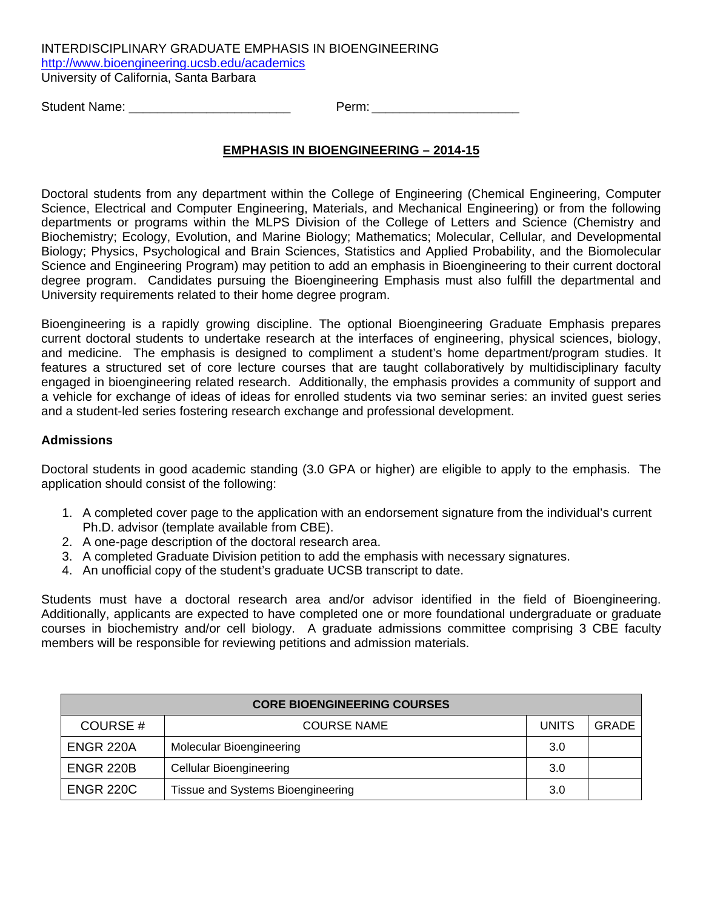INTERDISCIPLINARY GRADUATE EMPHASIS IN BIOENGINEERING http://www.bioengineering.ucsb.edu/academics University of California, Santa Barbara

Student Name: \_\_\_\_\_\_\_\_\_\_\_\_\_\_\_\_\_\_\_\_\_\_\_ Perm: \_\_\_\_\_\_\_\_\_\_\_\_\_\_\_\_\_\_\_\_\_

## **EMPHASIS IN BIOENGINEERING – 2014-15**

Doctoral students from any department within the College of Engineering (Chemical Engineering, Computer Science, Electrical and Computer Engineering, Materials, and Mechanical Engineering) or from the following departments or programs within the MLPS Division of the College of Letters and Science (Chemistry and Biochemistry; Ecology, Evolution, and Marine Biology; Mathematics; Molecular, Cellular, and Developmental Biology; Physics, Psychological and Brain Sciences, Statistics and Applied Probability, and the Biomolecular Science and Engineering Program) may petition to add an emphasis in Bioengineering to their current doctoral degree program. Candidates pursuing the Bioengineering Emphasis must also fulfill the departmental and University requirements related to their home degree program.

Bioengineering is a rapidly growing discipline. The optional Bioengineering Graduate Emphasis prepares current doctoral students to undertake research at the interfaces of engineering, physical sciences, biology, and medicine. The emphasis is designed to compliment a student's home department/program studies. It features a structured set of core lecture courses that are taught collaboratively by multidisciplinary faculty engaged in bioengineering related research. Additionally, the emphasis provides a community of support and a vehicle for exchange of ideas of ideas for enrolled students via two seminar series: an invited guest series and a student-led series fostering research exchange and professional development.

## **Admissions**

Doctoral students in good academic standing (3.0 GPA or higher) are eligible to apply to the emphasis. The application should consist of the following:

- 1. A completed cover page to the application with an endorsement signature from the individual's current Ph.D. advisor (template available from CBE).
- 2. A one-page description of the doctoral research area.
- 3. A completed Graduate Division petition to add the emphasis with necessary signatures.
- 4. An unofficial copy of the student's graduate UCSB transcript to date.

Students must have a doctoral research area and/or advisor identified in the field of Bioengineering. Additionally, applicants are expected to have completed one or more foundational undergraduate or graduate courses in biochemistry and/or cell biology. A graduate admissions committee comprising 3 CBE faculty members will be responsible for reviewing petitions and admission materials.

| <b>CORE BIOENGINEERING COURSES</b> |                                   |       |       |  |  |
|------------------------------------|-----------------------------------|-------|-------|--|--|
| <b>COURSE#</b>                     | <b>COURSE NAME</b>                | UNITS | GRADE |  |  |
| ENGR 220A                          | Molecular Bioengineering          | 3.0   |       |  |  |
| <b>ENGR 220B</b>                   | <b>Cellular Bioengineering</b>    | 3.0   |       |  |  |
| <b>ENGR 220C</b>                   | Tissue and Systems Bioengineering | 3.0   |       |  |  |